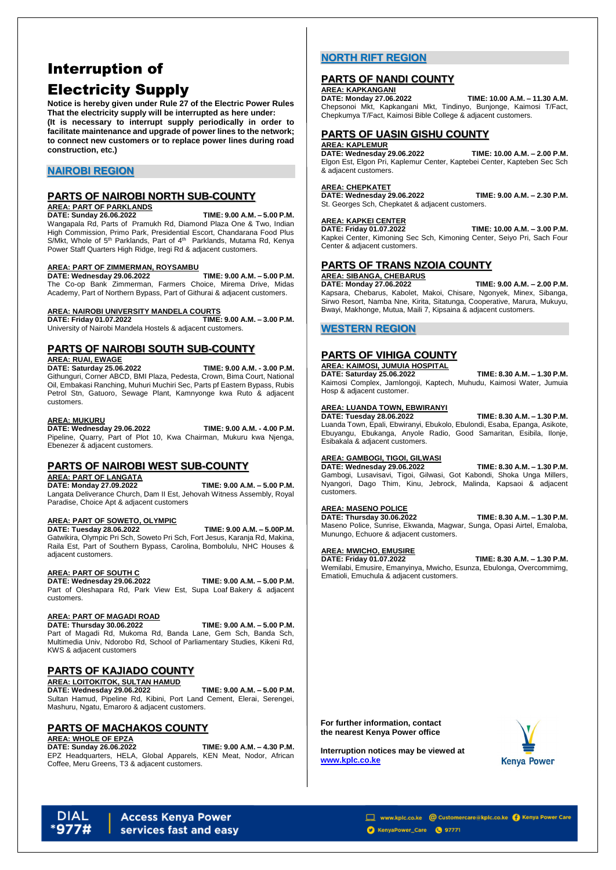# Interruption of Electricity Supply

**Notice is hereby given under Rule 27 of the Electric Power Rules That the electricity supply will be interrupted as here under: (It is necessary to interrupt supply periodically in order to facilitate maintenance and upgrade of power lines to the network; to connect new customers or to replace power lines during road construction, etc.)**

# **NAIROBI REGION**

# **PARTS OF NAIROBI NORTH SUB-COUNTY**

# **AREA: PART OF PARKLANDS**

**DATE: Sunday 26.06.2022 TIME: 9.00 A.M. – 5.00 P.M.** Wangapala Rd, Parts of Pramukh Rd, Diamond Plaza One & Two, Indian High Commission, Primo Park, Presidential Escort, Chandarana Food Plus S/Mkt, Whole of 5<sup>th</sup> Parklands, Part of 4<sup>th</sup> Parklands, Mutama Rd, Kenya Power Staff Quarters High Ridge, Iregi Rd & adjacent customers.

## **AREA: PART OF ZIMMERMAN, ROYSAMBU**

**DATE: Wednesday 29.06.2022 TIME: 9.00 A.M. – 5.00 P.M.** The Co-op Bank Zimmerman, Farmers Choice, Mirema Drive, Midas Academy, Part of Northern Bypass, Part of Githurai & adjacent customers.

# **AREA: NAIROBI UNIVERSITY MANDELA COURTS**

**DATE: Friday 01.07.2022 TIME: 9.00 A.M. – 3.00 P.M.** University of Nairobi Mandela Hostels & adjacent customers.

# **PARTS OF NAIROBI SOUTH SUB-COUNTY**

### **AREA: RUAI, EWAGE**

**DATE: Saturday 25.06.2022 TIME: 9.00 A.M. - 3.00 P.M.** Githunguri, Corner ABCD, BMI Plaza, Pedesta, Crown, Bima Court, National Oil, Embakasi Ranching, Muhuri Muchiri Sec, Parts pf Eastern Bypass, Rubis Petrol Stn, Gatuoro, Sewage Plant, Kamnyonge kwa Ruto & adjacent customers.

### **AREA: MUKURU**

**DATE: Wednesday 29.06.2022 TIME: 9.00 A.M. - 4.00 P.M.**  Pipeline, Quarry, Part of Plot 10, Kwa Chairman, Mukuru kwa Njenga, Ebenezer & adjacent customers.

# **PARTS OF NAIROBI WEST SUB-COUNTY**

### **AREA: PART OF LANGATA**

**DATE: Monday 27.09.2022 TIME: 9.00 A.M. – 5.00 P.M.** Langata Deliverance Church, Dam II Est, Jehovah Witness Assembly, Royal Paradise, Choice Apt & adjacent customers

### **AREA: PART OF SOWETO, OLYMPIC**

**DATE: Tuesday 28.06.2022 TIME: 9.00 A.M. – 5.00P.M.** Gatwikira, Olympic Pri Sch, Soweto Pri Sch, Fort Jesus, Karanja Rd, Makina, Raila Est, Part of Southern Bypass, Carolina, Bombolulu, NHC Houses & adjacent customers.

### **AREA: PART OF SOUTH C**

### **DATE: Wednesday 29.06.2022 TIME: 9.00 A.M. – 5.00 P.M.**

Part of Oleshapara Rd, Park View Est, Supa Loaf Bakery & adjacent customers.

## **AREA: PART OF MAGADI ROAD**

**DATE: Thursday 30.06.2022 TIME: 9.00 A.M. – 5.00 P.M.** Part of Magadi Rd, Mukoma Rd, Banda Lane, Gem Sch, Banda Sch, Multimedia Univ, Ndorobo Rd, School of Parliamentary Studies, Kikeni Rd, KWS & adjacent customers

# **PARTS OF KAJIADO COUNTY**

### **AREA: LOITOKITOK, SULTAN HAMUD**

**DATE: Wednesday 29.06.2022 TIME: 9.00 A.M. – 5.00 P.M.** Sultan Hamud, Pipeline Rd, Kibini, Port Land Cement, Elerai, Serengei, Mashuru, Ngatu, Emaroro & adjacent customers.

# **PARTS OF MACHAKOS COUNTY**

**AREA: WHOLE OF EPZA**

**DATE: Sunday 26.06.2022 TIME: 9.00 A.M. – 4.30 P.M.**

EPZ Headquarters, HELA, Global Apparels, KEN Meat, Nodor, African Coffee, Meru Greens, T3 & adjacent customers.

# **NORTH RIFT REGION**

# **PARTS OF NANDI COUNTY**

**AREA: KAPKANGANI<br>DATE: Monday 27.06.2022** 

**DATE: Monday 27.06.2022 TIME: 10.00 A.M. – 11.30 A.M.** Chepsonoi Mkt, Kapkangani Mkt, Tindinyo, Bunjonge, Kaimosi T/Fact, Chepkumya T/Fact, Kaimosi Bible College & adjacent customers.

# **PARTS OF UASIN GISHU COUNTY**

### **AREA: KAPLEMUR**

**DATE: Wednesday 29.06.2022 TIME: 10.00 A.M. – 2.00 P.M.** Elgon Est, Elgon Pri, Kaplemur Center, Kaptebei Center, Kapteben Sec Sch & adjacent customers.

### **AREA: CHEPKATET**

**DATE: Wednesday 29.06.2022 TIME: 9.00 A.M. – 2.30 P.M.** St. Georges Sch, Chepkatet & adjacent customers.

# **AREA: KAPKEI CENTER**

**DATE: Friday 01.07.2022 TIME: 10.00 A.M. – 3.00 P.M.** Kapkei Center, Kimoning Sec Sch, Kimoning Center, Seiyo Pri, Sach Four Center & adjacent customers.

# **PARTS OF TRANS NZOIA COUNTY**

# **AREA: SIBANGA, CHEBARUS**

**DATE: Monday 27.06.2022 TIME: 9.00 A.M. – 2.00 P.M.** Kapsara, Chebarus, Kabolet, Makoi, Chisare, Ngonyek, Minex, Sibanga, Sirwo Resort, Namba Nne, Kirita, Sitatunga, Cooperative, Marura, Mukuyu, Bwayi, Makhonge, Mutua, Maili 7, Kipsaina & adjacent customers.

# **WESTERN REGION**

# **PARTS OF VIHIGA COUNTY**

# **AREA: KAIMOSI, JUMUIA HOSPITAL**

**DATE: Saturday 25.06.2022 TIME: 8.30 A.M. – 1.30 P.M.** Kaimosi Complex, Jamlongoji, Kaptech, Muhudu, Kaimosi Water, Jumuia Hosp & adjacent customer.

## **AREA: LUANDA TOWN, EBWIRANYI**

**DATE: Tuesday 28.06.2022 TIME: 8.30 A.M. – 1.30 P.M.**

Luanda Town, Epali, Ebwiranyi, Ebukolo, Ebulondi, Esaba, Epanga, Asikote, Ebuyangu, Ebukanga, Anyole Radio, Good Samaritan, Esibila, Ilonje, Esibakala & adjacent customers.

## **AREA: GAMBOGI, TIGOI, GILWASI**

## **DATE: Wednesday 29.06.2022 TIME: 8.30 A.M. – 1.30 P.M.**

Gambogi, Lusavisavi, Tigoi, Gilwasi, Got Kabondi, Shoka Unga Millers, Nyangori, Dago Thim, Kinu, Jebrock, Malinda, Kapsaoi & adjacent customers.

## **AREA: MASENO POLICE**

**DATE: Thursday 30.06.2022 TIME: 8.30 A.M. – 1.30 P.M.** Maseno Police, Sunrise, Ekwanda, Magwar, Sunga, Opasi Airtel, Emaloba, Munungo, Echuore & adjacent customers.

## **AREA: MWICHO, EMUSIRE**

**DATE: Friday 01.07.2022 TIME: 8.30 A.M. – 1.30 P.M.** Wemilabi, Emusire, Emanyinya, Mwicho, Esunza, Ebulonga, Overcommimg, Ematioli, Emuchula & adjacent customers.

**For further information, contact the nearest Kenya Power office**

**Interruption notices may be viewed at [www.kplc.co.ke](http://www.kplc.co.ke/)**



### **DIAL Access Kenya Power** services fast and easy

www.kplc.co.ke @ Customercare@kplc.co.ke @ Kenya Power Care

KenyaPower\_Care (9 97771